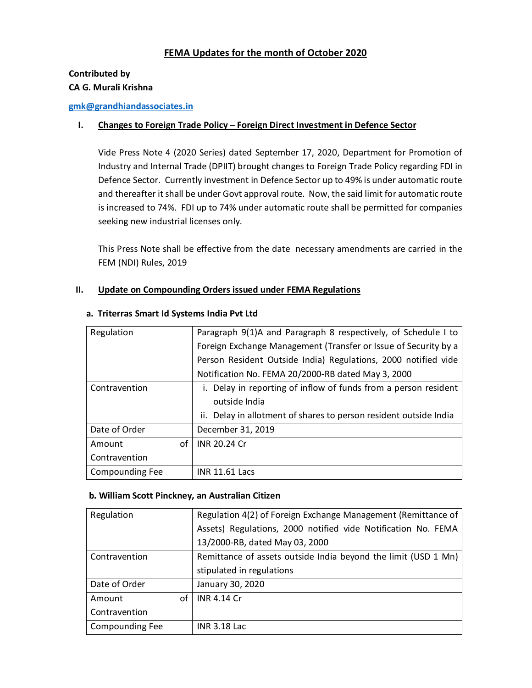# **FEMA Updates for the month of October 2020**

# **Contributed by CA G. Murali Krishna**

### **gmk@grandhiandassociates.in**

### **I. Changes to Foreign Trade Policy – Foreign Direct Investment in Defence Sector**

Vide Press Note 4 (2020 Series) dated September 17, 2020, Department for Promotion of Industry and Internal Trade (DPIIT) brought changes to Foreign Trade Policy regarding FDI in Defence Sector. Currently investment in Defence Sector up to 49% is under automatic route and thereafter it shall be under Govt approval route. Now, the said limit for automatic route is increased to 74%. FDI up to 74% under automatic route shall be permitted for companies seeking new industrial licenses only.

This Press Note shall be effective from the date necessary amendments are carried in the FEM (NDI) Rules, 2019

### **II. Update on Compounding Orders issued under FEMA Regulations**

| Regulation             |    | Paragraph 9(1)A and Paragraph 8 respectively, of Schedule I to    |
|------------------------|----|-------------------------------------------------------------------|
|                        |    | Foreign Exchange Management (Transfer or Issue of Security by a   |
|                        |    | Person Resident Outside India) Regulations, 2000 notified vide    |
|                        |    | Notification No. FEMA 20/2000-RB dated May 3, 2000                |
| Contravention          |    | i. Delay in reporting of inflow of funds from a person resident   |
|                        |    | outside India                                                     |
|                        |    | ii. Delay in allotment of shares to person resident outside India |
| Date of Order          |    | December 31, 2019                                                 |
| Amount                 | of | INR 20.24 Cr                                                      |
| Contravention          |    |                                                                   |
| <b>Compounding Fee</b> |    | <b>INR 11.61 Lacs</b>                                             |

#### **a. Triterras Smart Id Systems India Pvt Ltd**

### **b. William Scott Pinckney, an Australian Citizen**

| Regulation             |      | Regulation 4(2) of Foreign Exchange Management (Remittance of<br>Assets) Regulations, 2000 notified vide Notification No. FEMA<br>13/2000-RB, dated May 03, 2000 |
|------------------------|------|------------------------------------------------------------------------------------------------------------------------------------------------------------------|
| Contravention          |      | Remittance of assets outside India beyond the limit (USD 1 Mn)                                                                                                   |
|                        |      | stipulated in regulations                                                                                                                                        |
| Date of Order          |      | January 30, 2020                                                                                                                                                 |
| Amount                 | of I | l INR 4.14 Cr                                                                                                                                                    |
| Contravention          |      |                                                                                                                                                                  |
| <b>Compounding Fee</b> |      | <b>INR 3.18 Lac</b>                                                                                                                                              |